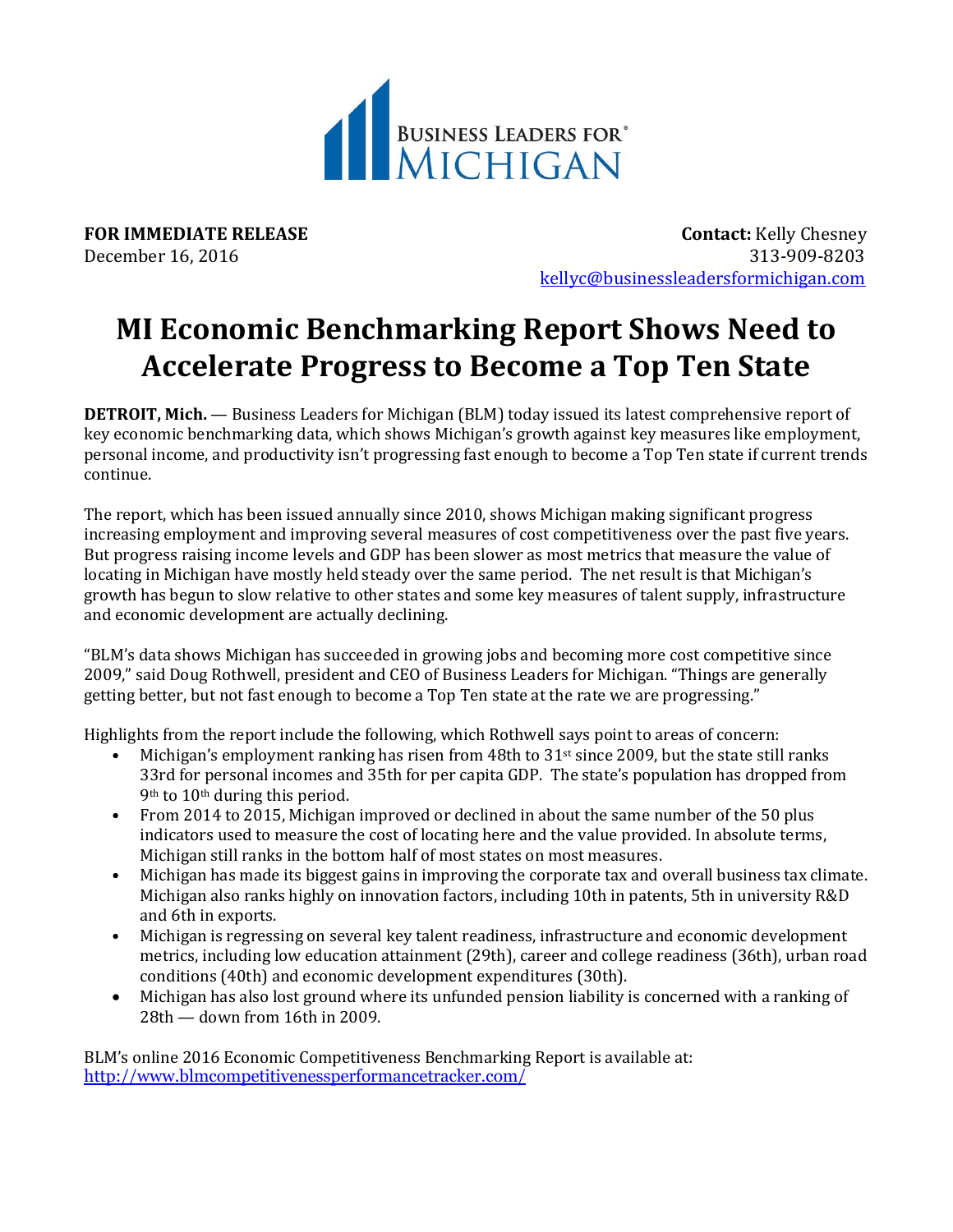

**FOR IMMEDIATE RELEASE CONTACT:** Kelly Chesney December 16, 2016 313-909-8203 [kellyc@businessleadersformichigan.com](mailto:kellyc@businessleadersformichigan.com)

## **MI Economic Benchmarking Report Shows Need to Accelerate Progress to Become a Top Ten State**

**DETROIT, Mich.** — Business Leaders for Michigan (BLM) today issued its latest comprehensive report of key economic benchmarking data, which shows Michigan's growth against key measures like employment, personal income, and productivity isn't progressing fast enough to become a Top Ten state if current trends continue.

The report, which has been issued annually since 2010, shows Michigan making significant progress increasing employment and improving several measures of cost competitiveness over the past five years. But progress raising income levels and GDP has been slower as most metrics that measure the value of locating in Michigan have mostly held steady over the same period. The net result is that Michigan's growth has begun to slow relative to other states and some key measures of talent supply, infrastructure and economic development are actually declining.

"BLM's data shows Michigan has succeeded in growing jobs and becoming more cost competitive since 2009," said Doug Rothwell, president and CEO of Business Leaders for Michigan. "Things are generally getting better, but not fast enough to become a Top Ten state at the rate we are progressing."

Highlights from the report include the following, which Rothwell says point to areas of concern:

- Michigan's employment ranking has risen from 48th to  $31<sup>st</sup>$  since 2009, but the state still ranks 33rd for personal incomes and 35th for per capita GDP. The state's population has dropped from 9th to 10th during this period.
- From 2014 to 2015, Michigan improved or declined in about the same number of the 50 plus indicators used to measure the cost of locating here and the value provided. In absolute terms, Michigan still ranks in the bottom half of most states on most measures.
- Michigan has made its biggest gains in improving the corporate tax and overall business tax climate. Michigan also ranks highly on innovation factors, including 10th in patents, 5th in university R&D and 6th in exports.
- Michigan is regressing on several key talent readiness, infrastructure and economic development metrics, including low education attainment (29th), career and college readiness (36th), urban road conditions (40th) and economic development expenditures (30th).
- Michigan has also lost ground where its unfunded pension liability is concerned with a ranking of 28th — down from 16th in 2009.

BLM's online 2016 Economic Competitiveness Benchmarking Report is available at: <http://www.blmcompetitivenessperformancetracker.com/>